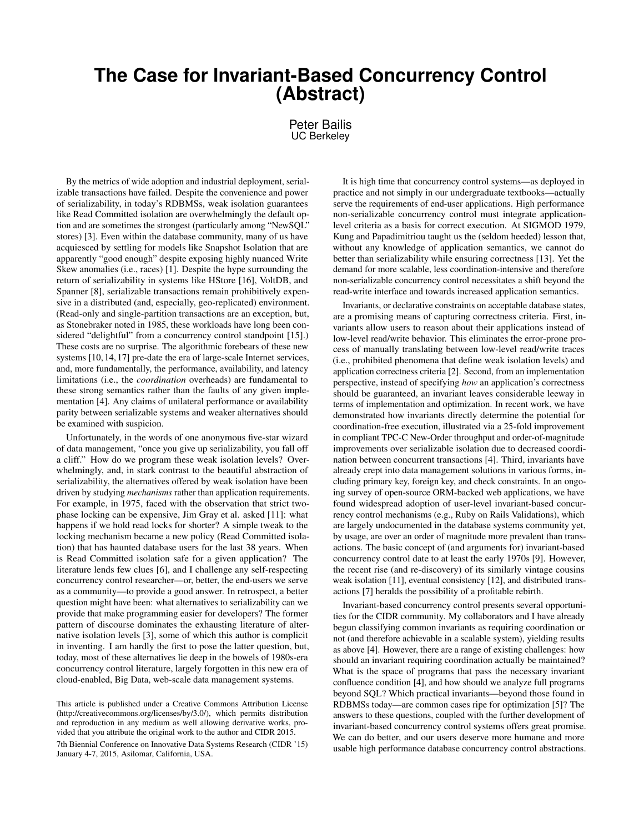## **The Case for Invariant-Based Concurrency Control (Abstract)**

Peter Bailis UC Berkeley

By the metrics of wide adoption and industrial deployment, serializable transactions have failed. Despite the convenience and power of serializability, in today's RDBMSs, weak isolation guarantees like Read Committed isolation are overwhelmingly the default option and are sometimes the strongest (particularly among "NewSQL" stores) [\[3\]](#page-1-0). Even within the database community, many of us have acquiesced by settling for models like Snapshot Isolation that are apparently "good enough" despite exposing highly nuanced Write Skew anomalies (i.e., races) [\[1\]](#page-1-1). Despite the hype surrounding the return of serializability in systems like HStore [\[16\]](#page-1-2), VoltDB, and Spanner [\[8\]](#page-1-3), serializable transactions remain prohibitively expensive in a distributed (and, especially, geo-replicated) environment. (Read-only and single-partition transactions are an exception, but, as Stonebraker noted in 1985, these workloads have long been considered "delightful" from a concurrency control standpoint [\[15\]](#page-1-4).) These costs are no surprise. The algorithmic forebears of these new systems [\[10,](#page-1-5) [14,](#page-1-6) [17\]](#page-1-7) pre-date the era of large-scale Internet services, and, more fundamentally, the performance, availability, and latency limitations (i.e., the *coordination* overheads) are fundamental to these strong semantics rather than the faults of any given implementation [\[4\]](#page-1-8). Any claims of unilateral performance or availability parity between serializable systems and weaker alternatives should be examined with suspicion.

Unfortunately, in the words of one anonymous five-star wizard of data management, "once you give up serializability, you fall off a cliff." How do we program these weak isolation levels? Overwhelmingly, and, in stark contrast to the beautiful abstraction of serializability, the alternatives offered by weak isolation have been driven by studying *mechanisms* rather than application requirements. For example, in 1975, faced with the observation that strict twophase locking can be expensive, Jim Gray et al. asked [\[11\]](#page-1-9): what happens if we hold read locks for shorter? A simple tweak to the locking mechanism became a new policy (Read Committed isolation) that has haunted database users for the last 38 years. When is Read Committed isolation safe for a given application? The literature lends few clues [\[6\]](#page-1-10), and I challenge any self-respecting concurrency control researcher—or, better, the end-users we serve as a community—to provide a good answer. In retrospect, a better question might have been: what alternatives to serializability can we provide that make programming easier for developers? The former pattern of discourse dominates the exhausting literature of alternative isolation levels [\[3\]](#page-1-0), some of which this author is complicit in inventing. I am hardly the first to pose the latter question, but, today, most of these alternatives lie deep in the bowels of 1980s-era concurrency control literature, largely forgotten in this new era of cloud-enabled, Big Data, web-scale data management systems.

It is high time that concurrency control systems—as deployed in practice and not simply in our undergraduate textbooks—actually serve the requirements of end-user applications. High performance non-serializable concurrency control must integrate applicationlevel criteria as a basis for correct execution. At SIGMOD 1979, Kung and Papadimitriou taught us the (seldom heeded) lesson that, without any knowledge of application semantics, we cannot do better than serializability while ensuring correctness [\[13\]](#page-1-11). Yet the demand for more scalable, less coordination-intensive and therefore non-serializable concurrency control necessitates a shift beyond the read-write interface and towards increased application semantics.

Invariants, or declarative constraints on acceptable database states, are a promising means of capturing correctness criteria. First, invariants allow users to reason about their applications instead of low-level read/write behavior. This eliminates the error-prone process of manually translating between low-level read/write traces (i.e., prohibited phenomena that define weak isolation levels) and application correctness criteria [\[2\]](#page-1-12). Second, from an implementation perspective, instead of specifying *how* an application's correctness should be guaranteed, an invariant leaves considerable leeway in terms of implementation and optimization. In recent work, we have demonstrated how invariants directly determine the potential for coordination-free execution, illustrated via a 25-fold improvement in compliant TPC-C New-Order throughput and order-of-magnitude improvements over serializable isolation due to decreased coordination between concurrent transactions [\[4\]](#page-1-8). Third, invariants have already crept into data management solutions in various forms, including primary key, foreign key, and check constraints. In an ongoing survey of open-source ORM-backed web applications, we have found widespread adoption of user-level invariant-based concurrency control mechanisms (e.g., Ruby on Rails Validations), which are largely undocumented in the database systems community yet, by usage, are over an order of magnitude more prevalent than transactions. The basic concept of (and arguments for) invariant-based concurrency control date to at least the early 1970s [\[9\]](#page-1-13). However, the recent rise (and re-discovery) of its similarly vintage cousins weak isolation [\[11\]](#page-1-9), eventual consistency [\[12\]](#page-1-14), and distributed transactions [\[7\]](#page-1-15) heralds the possibility of a profitable rebirth.

Invariant-based concurrency control presents several opportunities for the CIDR community. My collaborators and I have already begun classifying common invariants as requiring coordination or not (and therefore achievable in a scalable system), yielding results as above [\[4\]](#page-1-8). However, there are a range of existing challenges: how should an invariant requiring coordination actually be maintained? What is the space of programs that pass the necessary invariant confluence condition [\[4\]](#page-1-8), and how should we analyze full programs beyond SQL? Which practical invariants—beyond those found in RDBMSs today—are common cases ripe for optimization [\[5\]](#page-1-16)? The answers to these questions, coupled with the further development of invariant-based concurrency control systems offers great promise. We can do better, and our users deserve more humane and more usable high performance database concurrency control abstractions.

This article is published under a Creative Commons Attribution License [\(http://creativecommons.org/licenses/by/3.0/\)](http://creativecommons.org/licenses/by/3.0/), which permits distribution and reproduction in any medium as well allowing derivative works, provided that you attribute the original work to the author and CIDR 2015.

<sup>7</sup>th Biennial Conference on Innovative Data Systems Research (CIDR '15) January 4-7, 2015, Asilomar, California, USA.